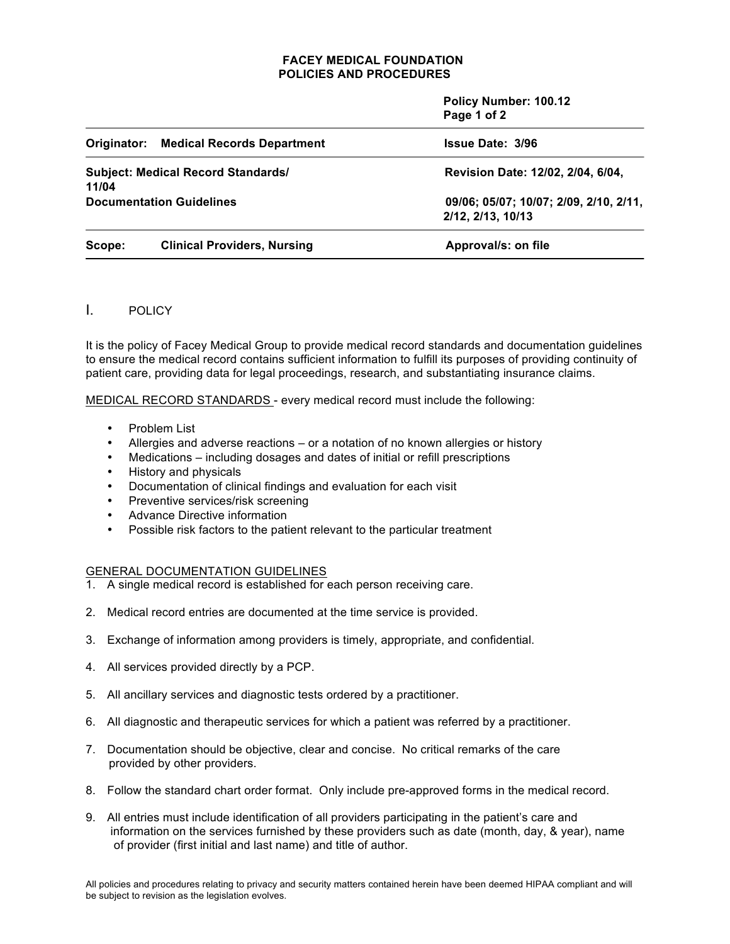## **FACEY MEDICAL FOUNDATION POLICIES AND PROCEDURES**

 **Policy Number: 100.12 Page 1 of 2**

|                                                    | <b>Originator: Medical Records Department</b> | <b>Issue Date: 3/96</b>                                     |
|----------------------------------------------------|-----------------------------------------------|-------------------------------------------------------------|
| <b>Subject: Medical Record Standards/</b><br>11/04 |                                               | Revision Date: 12/02, 2/04, 6/04,                           |
| <b>Documentation Guidelines</b>                    |                                               | 09/06; 05/07; 10/07; 2/09, 2/10, 2/11,<br>2/12, 2/13, 10/13 |
| Scope:                                             | <b>Clinical Providers, Nursing</b>            | Approval/s: on file                                         |

# I. POLICY

It is the policy of Facey Medical Group to provide medical record standards and documentation guidelines to ensure the medical record contains sufficient information to fulfill its purposes of providing continuity of patient care, providing data for legal proceedings, research, and substantiating insurance claims.

MEDICAL RECORD STANDARDS - every medical record must include the following:

- Problem List
- Allergies and adverse reactions or a notation of no known allergies or history
- Medications including dosages and dates of initial or refill prescriptions
- History and physicals
- Documentation of clinical findings and evaluation for each visit
- Preventive services/risk screening
- Advance Directive information
- Possible risk factors to the patient relevant to the particular treatment

# GENERAL DOCUMENTATION GUIDELINES

- 1. A single medical record is established for each person receiving care.
- 2. Medical record entries are documented at the time service is provided.
- 3. Exchange of information among providers is timely, appropriate, and confidential.
- 4. All services provided directly by a PCP.
- 5. All ancillary services and diagnostic tests ordered by a practitioner.
- 6. All diagnostic and therapeutic services for which a patient was referred by a practitioner.
- 7. Documentation should be objective, clear and concise. No critical remarks of the care provided by other providers.
- 8. Follow the standard chart order format. Only include pre-approved forms in the medical record.
- 9. All entries must include identification of all providers participating in the patient's care and information on the services furnished by these providers such as date (month, day, & year), name of provider (first initial and last name) and title of author.